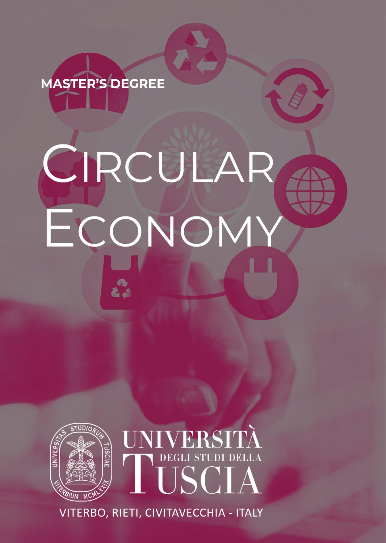# **MASTER'S DEGREE**

# CIRCULAR ECONOMY



VITERBO, RIETI, CIVITAVECCHIA - ITALY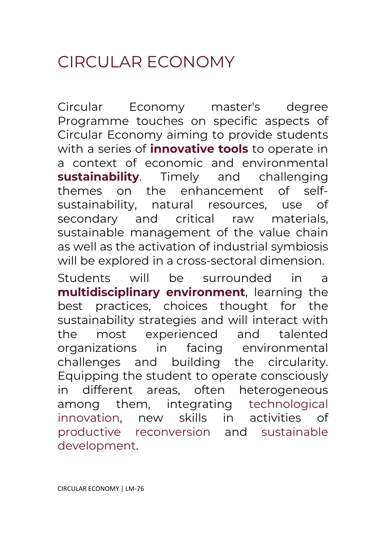# CIRCUI AR FCONOMY

Circular Economy master's degree Programme touches on specific aspects of Circular Economy aiming to provide students with a series of **innovative tools** to operate in a context of economic and environmental **sustainability**. Timely and challenging themes on the enhancement of selfsustainability, natural resources, use of secondary and critical raw materials, sustainable management of the value chain as well as the activation of industrial symbiosis will be explored in a cross-sectoral dimension.

Students will be surrounded in a **multidisciplinary environment**, learning the best practices, choices thought for the sustainability strategies and will interact with the most experienced and talented organizations in facing environmental challenges and building the circularity. Equipping the student to operate consciously in different areas, often heterogeneous among them, integrating technological innovation, new skills in activities of productive reconversion and sustainable development.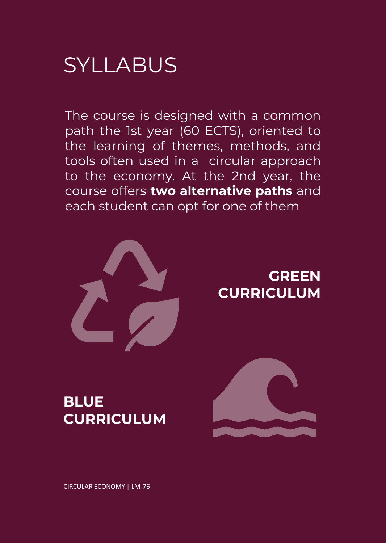# SYLLABUS

The course is designed with a common path the 1st year (60 ECTS), oriented to the learning of themes, methods, and tools often used in a circular approach to the economy. At the 2nd year, the course offers **two alternative paths** and each student can opt for one of them



# **GREEN CURRICULUM**

# **BLUE CURRICULUM**

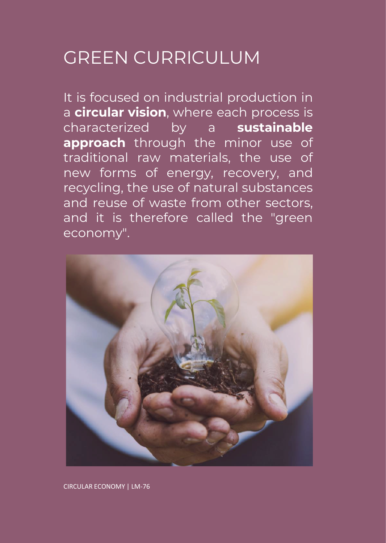# GREEN CURRICULUM

It is focused on industrial production in a **circular vision**, where each process is characterized by a **sustainable approach** through the minor use of traditional raw materials, the use of new forms of energy, recovery, and recycling, the use of natural substances and reuse of waste from other sectors, and it is therefore called the "green economy".

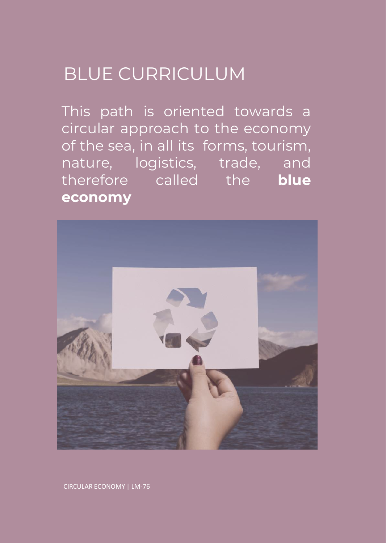# BLUE CURRICULUM

This path is oriented towards a circular approach to the economy of the sea, in all its forms, tourism, nature, logistics, trade, and therefore called the **blue economy**

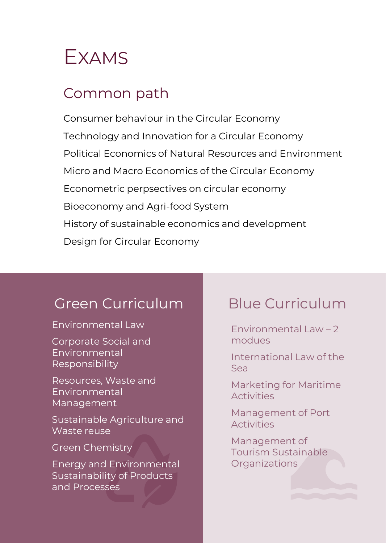

## Common path

Consumer behaviour in the Circular Economy Technology and Innovation for a Circular Economy Political Economics of Natural Resources and Environment Micro and Macro Economics of the Circular Economy Econometric perpsectives on circular economy Bioeconomy and Agri-food System History of sustainable economics and development Design for Circular Economy

## Green Curriculum Blue Curriculum

#### Environmental Law

Corporate Social and Environmental Responsibility

Resources, Waste and Environmental Management

Sustainable Agriculture and Waste reuse

#### Green Chemistry

Energy and Environmental Sustainability of Products and Processes

Environmental Law  $-2$ modues

International Law of the Sea

Marketing for Maritime Activities

Management of Port **Activities** 

Management of Tourism Sustainable **Organizations**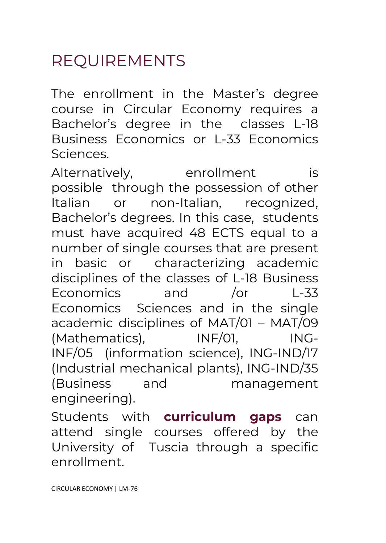# REQUIREMENTS

The enrollment in the Master's degree course in Circular Economy requires a Bachelor's degree in the classes L-18 Business Economics or L-33 Economics Sciences.

Alternatively, enrollment is possible through the possession of other Italian or non-Italian, recognized, Bachelor's degrees. In this case, students must have acquired 48 ECTS equal to a number of single courses that are present in basic or characterizing academic disciplines of the classes of L-18 Business Economics and /or L-33 Economics Sciences and in the single academic disciplines of MAT/01 – MAT/09 (Mathematics), INF/01, ING-INF/05 (information science), ING-IND/17 (Industrial mechanical plants), ING-IND/35 (Business and management engineering).

Students with **curriculum gaps** can attend single courses offered by the University of Tuscia through a specific enrollment.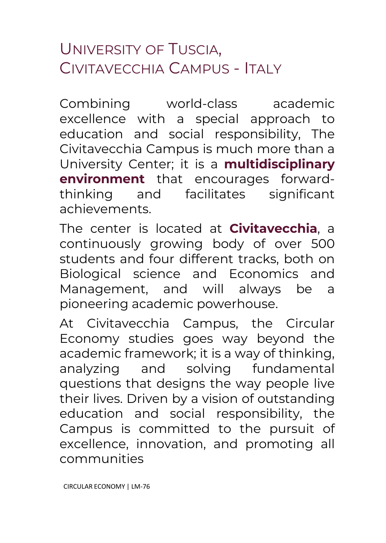# UNIVERSITY OF TUSCIA, CIVITAVECCHIA CAMPUS - ITALY

Combining world-class academic excellence with a special approach to education and social responsibility, The Civitavecchia Campus is much more than a University Center; it is a **multidisciplinary environment** that encourages forwardthinking and facilitates significant achievements.

The center is located at **Civitavecchia**, a continuously growing body of over 500 students and four different tracks, both on Biological science and Economics and Management, and will always be a pioneering academic powerhouse.

At Civitavecchia Campus, the Circular Economy studies goes way beyond the academic framework; it is a way of thinking, analyzing and solving fundamental questions that designs the way people live their lives. Driven by a vision of outstanding education and social responsibility, the Campus is committed to the pursuit of excellence, innovation, and promoting all communities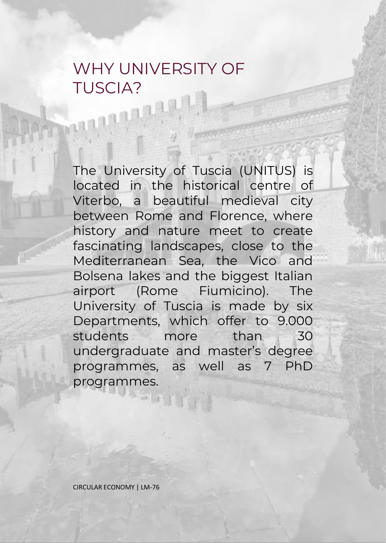## WHY UNIVERSITY OF TUSCIA?

The University of Tuscia (UNITUS) is located in the historical centre of Viterbo, a beautiful medieval city between Rome and Florence, where history and nature meet to create fascinating landscapes, close to the Mediterranean Sea, the Vico and Bolsena lakes and the biggest Italian airport (Rome Fiumicino). The University of Tuscia is made by six Departments, which offer to 9.000 students more than 30 undergraduate and master's degree programmes, as well as 7 PhD programmes.